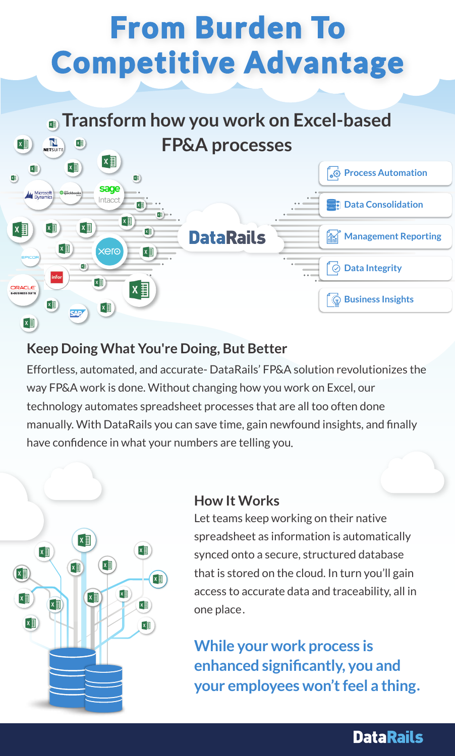## **From Burden To Competitive Advantage**



#### **Keep Doing What You're Doing, But Better**

Effortless, automated, and accurate- DataRails' FP&A solution revolutionizes the way FP&A work is done. Without changing how you work on Excel, our technology automates spreadsheet processes that are all too often done manually. With DataRails you can save time, gain newfound insights, and finally have confidence in what your numbers are telling you .



#### **How It Works**

Let teams keep working on their native spreadsheet as information is automatically synced onto a secure, structured database that is stored on the cloud. In turn you'll gain access to accurate data and traceability, all in one place .

**While your work process is enhanced significantly, you and your employees won't feel a thing.**

#### **DataRails**